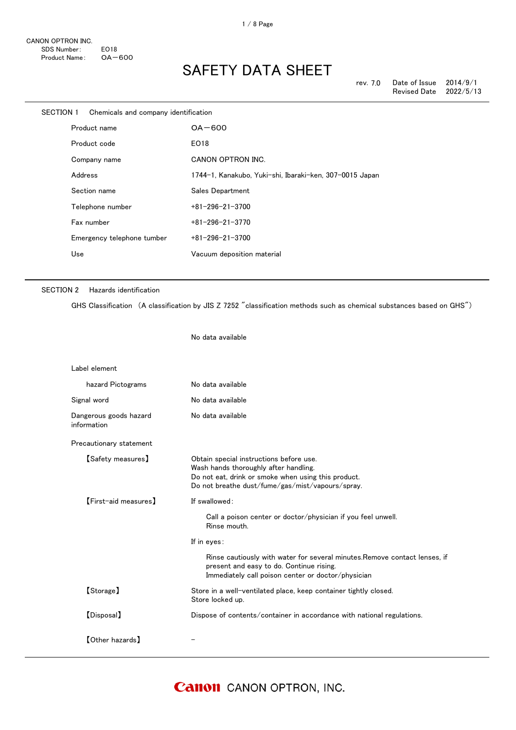| SECTION 1 Chemicals and company identification |                                                         |
|------------------------------------------------|---------------------------------------------------------|
| Product name                                   | $OA - 600$                                              |
| Product code                                   | EO18                                                    |
| Company name                                   | CANON OPTRON INC.                                       |
| Address                                        | 1744-1, Kanakubo, Yuki-shi, Ibaraki-ken, 307-0015 Japan |
| Section name                                   | Sales Department                                        |
| Telephone number                               | $+81 - 296 - 21 - 3700$                                 |
| Fax number                                     | $+81 - 296 - 21 - 3770$                                 |
| Emergency telephone tumber                     | $+81 - 296 - 21 - 3700$                                 |
| Use                                            | Vacuum deposition material                              |
|                                                |                                                         |

### SECTION 2 Hazards identification

GHS Classification (A classification by JIS Z 7252 "classification methods such as chemical substances based on GHS")

No data available

| Label element                         |                                                                                                                                                                                             |
|---------------------------------------|---------------------------------------------------------------------------------------------------------------------------------------------------------------------------------------------|
| hazard Pictograms                     | No data available                                                                                                                                                                           |
| Signal word                           | No data available                                                                                                                                                                           |
| Dangerous goods hazard<br>information | No data available                                                                                                                                                                           |
| Precautionary statement               |                                                                                                                                                                                             |
| <b>【Safety measures】</b>              | Obtain special instructions before use.<br>Wash hands thoroughly after handling.<br>Do not eat, drink or smoke when using this product.<br>Do not breathe dust/fume/gas/mist/vapours/spray. |
| $[First$ aid measures $]$             | If swallowed:                                                                                                                                                                               |
|                                       | Call a poison center or doctor/physician if you feel unwell.<br>Rinse mouth.                                                                                                                |
|                                       | If in eyes:                                                                                                                                                                                 |
|                                       | Rinse cautiously with water for several minutes. Remove contact lenses, if<br>present and easy to do. Continue rising.<br>Immediately call poison center or doctor/physician                |
| [Storage]                             | Store in a well-ventilated place, keep container tightly closed.<br>Store locked up.                                                                                                        |
| [Disposal]                            | Dispose of contents/container in accordance with national regulations.                                                                                                                      |
| <b>[Other hazards]</b>                |                                                                                                                                                                                             |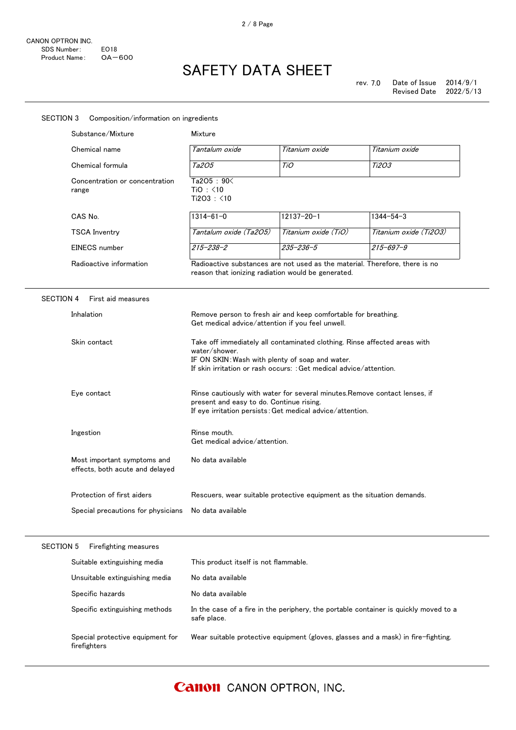| Substance/Mixture                                              | Mixture                                                                                                                                                                                                                                                                                                                                                                                                                   |                      |                                                                                      |  |
|----------------------------------------------------------------|---------------------------------------------------------------------------------------------------------------------------------------------------------------------------------------------------------------------------------------------------------------------------------------------------------------------------------------------------------------------------------------------------------------------------|----------------------|--------------------------------------------------------------------------------------|--|
| Chemical name                                                  | Tantalum oxide                                                                                                                                                                                                                                                                                                                                                                                                            | Titanium oxide       | Titanium oxide                                                                       |  |
| Chemical formula                                               | Ta205                                                                                                                                                                                                                                                                                                                                                                                                                     | TiO                  | <i>Ti2O3</i>                                                                         |  |
| Concentration or concentration<br>range                        | Ta2O5: 90<<br>TiO: <10<br>Ti2O3: <10                                                                                                                                                                                                                                                                                                                                                                                      |                      |                                                                                      |  |
| CAS No.                                                        | $1314 - 61 - 0$                                                                                                                                                                                                                                                                                                                                                                                                           | $12137 - 20 - 1$     | $1344 - 54 - 3$                                                                      |  |
| <b>TSCA Inventry</b>                                           | Tantalum oxide (Ta2O5)                                                                                                                                                                                                                                                                                                                                                                                                    | Titanium oxide (TiO) | Titanium oxide (Ti2O3)                                                               |  |
| EINECS number                                                  | $215 - 238 - 2$                                                                                                                                                                                                                                                                                                                                                                                                           | $235 - 236 - 5$      | $215 - 697 - 9$                                                                      |  |
| Radioactive information                                        | Radioactive substances are not used as the material. Therefore, there is no<br>reason that ionizing radiation would be generated.                                                                                                                                                                                                                                                                                         |                      |                                                                                      |  |
| <b>SECTION 4</b><br>First aid measures                         |                                                                                                                                                                                                                                                                                                                                                                                                                           |                      |                                                                                      |  |
| Inhalation                                                     | Remove person to fresh air and keep comfortable for breathing.<br>Get medical advice/attention if you feel unwell.                                                                                                                                                                                                                                                                                                        |                      |                                                                                      |  |
| Skin contact                                                   | Take off immediately all contaminated clothing. Rinse affected areas with<br>water/shower.<br>IF ON SKIN: Wash with plenty of soap and water.<br>If skin irritation or rash occurs: : Get medical advice/attention.<br>Eye contact<br>Rinse cautiously with water for several minutes. Remove contact lenses, if<br>present and easy to do. Continue rising.<br>If eye irritation persists: Get medical advice/attention. |                      |                                                                                      |  |
|                                                                |                                                                                                                                                                                                                                                                                                                                                                                                                           |                      |                                                                                      |  |
| Ingestion                                                      | Rinse mouth.<br>Get medical advice/attention.                                                                                                                                                                                                                                                                                                                                                                             |                      |                                                                                      |  |
| Most important symptoms and<br>effects, both acute and delayed | No data available                                                                                                                                                                                                                                                                                                                                                                                                         |                      |                                                                                      |  |
| Protection of first aiders                                     | Rescuers, wear suitable protective equipment as the situation demands.                                                                                                                                                                                                                                                                                                                                                    |                      |                                                                                      |  |
| Special precautions for physicians                             | No data available                                                                                                                                                                                                                                                                                                                                                                                                         |                      |                                                                                      |  |
| <b>SECTION 5</b><br>Firefighting measures                      |                                                                                                                                                                                                                                                                                                                                                                                                                           |                      |                                                                                      |  |
| Suitable extinguishing media                                   | This product itself is not flammable.                                                                                                                                                                                                                                                                                                                                                                                     |                      |                                                                                      |  |
| Unsuitable extinguishing media                                 | No data available                                                                                                                                                                                                                                                                                                                                                                                                         |                      |                                                                                      |  |
| Specific hazards                                               | No data available                                                                                                                                                                                                                                                                                                                                                                                                         |                      |                                                                                      |  |
| Specific extinguishing methods                                 |                                                                                                                                                                                                                                                                                                                                                                                                                           |                      | In the case of a fire in the periphery, the portable container is quickly moved to a |  |

**Canon** CANON OPTRON, INC.

safe place.

Wear suitable protective equipment (gloves, glasses and a mask) in fire-fighting.

Special protective equipment for

firefighters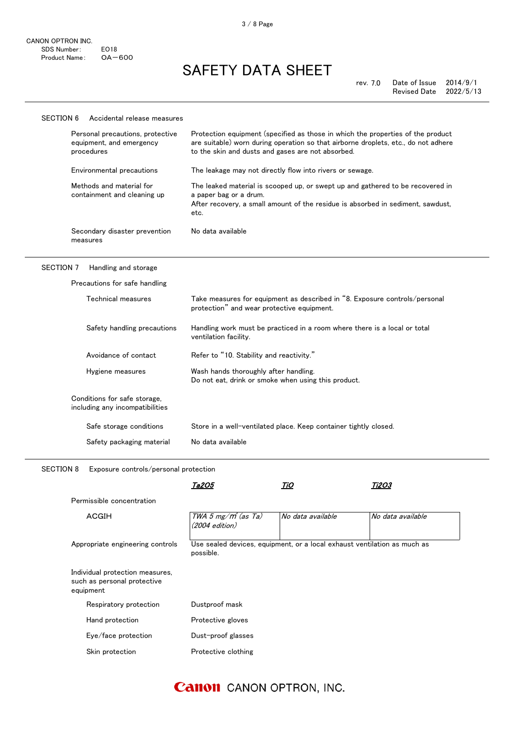#### Methods and material for containment and cleaning up The leaked material is scooped up, or swept up and gathered to be recovered in a paper bag or a drum. After recovery, a small amount of the residue is absorbed in sediment, sawdust, etc. Secondary disaster prevention measures No data available SECTION 6 Accidental release measures Personal precautions, protective equipment, and emergency procedures Protection equipment (specified as those in which the properties of the product are suitable) worn during operation so that airborne droplets, etc., do not adhere to the skin and dusts and gases are not absorbed. Environmental precautions The leakage may not directly flow into rivers or sewage.

### SECTION 7 Handling and storage

| Precautions for safe handling                                   |                                                                                                                          |
|-----------------------------------------------------------------|--------------------------------------------------------------------------------------------------------------------------|
| Technical measures                                              | Take measures for equipment as described in "8. Exposure controls/personal<br>protection" and wear protective equipment. |
| Safety handling precautions                                     | Handling work must be practiced in a room where there is a local or total<br>ventilation facility.                       |
| Avoidance of contact                                            | Refer to "10. Stability and reactivity."                                                                                 |
| Hygiene measures                                                | Wash hands thoroughly after handling.<br>Do not eat, drink or smoke when using this product.                             |
| Conditions for safe storage,<br>including any incompatibilities |                                                                                                                          |
| Safe storage conditions                                         | Store in a well-ventilated place. Keep container tightly closed.                                                         |
| Safety packaging material                                       | No data available                                                                                                        |

SECTION 8 Exposure controls/personal protection

|                                                                             | Ta2O5                                                                                 | TiO               | <i>Ti2O3</i>      |
|-----------------------------------------------------------------------------|---------------------------------------------------------------------------------------|-------------------|-------------------|
| Permissible concentration                                                   |                                                                                       |                   |                   |
| <b>ACGIH</b>                                                                | TWA 5 mg/m <sup>3</sup> (as Ta)<br>$(2004$ edition)                                   | No data available | No data available |
| Appropriate engineering controls                                            | Use sealed devices, equipment, or a local exhaust ventilation as much as<br>possible. |                   |                   |
| Individual protection measures,<br>such as personal protective<br>equipment |                                                                                       |                   |                   |
|                                                                             |                                                                                       |                   |                   |
| Respiratory protection                                                      | Dustproof mask                                                                        |                   |                   |
| Hand protection                                                             | Protective gloves                                                                     |                   |                   |
| Eye/face protection                                                         | Dust-proof glasses                                                                    |                   |                   |

### **Canon** CANON OPTRON, INC.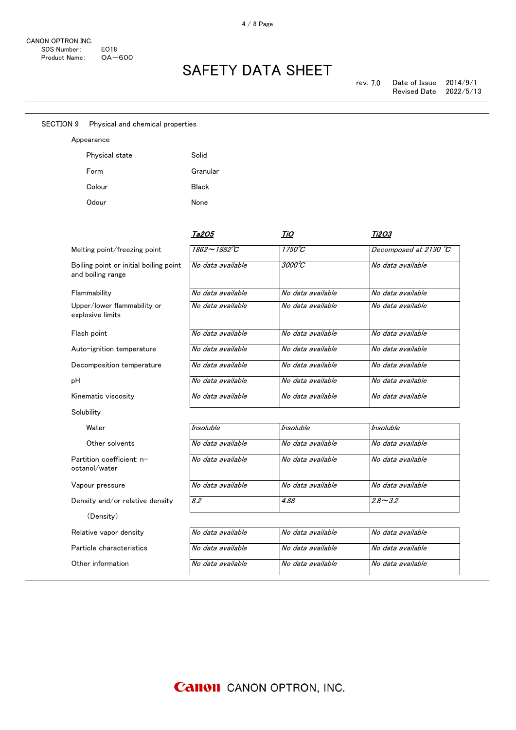Appearance

SECTION 9 Physical and chemical properties

# SAFETY DATA SHEET

| Physical state                                              | Solid             |                            |                       |
|-------------------------------------------------------------|-------------------|----------------------------|-----------------------|
| Form                                                        | Granular          |                            |                       |
| Colour                                                      | <b>Black</b>      |                            |                       |
| Odour                                                       | None              |                            |                       |
|                                                             | Ta2O5             | TiO                        | Ti2O3                 |
| Melting point/freezing point                                | 1862∼1882°C       | 1750°C                     | Decomposed at 2130 °C |
| Boiling point or initial boiling point<br>and boiling range | No data available | $3000^{\circ}\overline{C}$ | No data available     |
| Flammability                                                | No data available | No data available          | No data available     |
| Upper/lower flammability or<br>explosive limits             | No data available | No data available          | No data available     |
| Flash point                                                 | No data available | No data available          | No data available     |
| Auto-ignition temperature                                   | No data available | No data available          | No data available     |
| Decomposition temperature                                   | No data available | No data available          | No data available     |
| рH                                                          | No data available | No data available          | No data available     |
| Kinematic viscosity                                         | No data available | No data available          | No data available     |
| Solubility                                                  |                   |                            |                       |
| Water                                                       | Insoluble         | <b>Insoluble</b>           | <b>Insoluble</b>      |
| Other solvents                                              | No data available | No data available          | No data available     |
| Partition coefficient: n-<br>octanol/water                  | No data available | No data available          | No data available     |
| Vapour pressure                                             | No data available | No data available          | No data available     |
| Density and/or relative density                             | 8.2               | 4.88                       | $2.8 - 3.2$           |
| (Density)                                                   |                   |                            |                       |
| Relative vapor density                                      | No data available | No data available          | No data available     |
| Particle characteristics                                    | No data available | No data available          | No data available     |
| Other information                                           | No data available | No data available          | No data available     |
|                                                             |                   |                            |                       |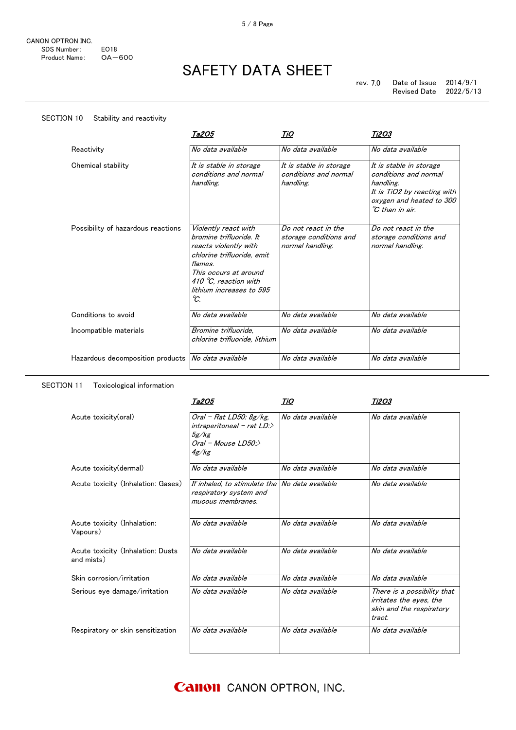SECTION 10 Stability and reactivity

# SAFETY DATA SHEET

|                                    | Ta2O5                                                                                                                                                                                                  | TiO                                                               | <i><b>Ti2O3</b></i>                                                                                                                                              |
|------------------------------------|--------------------------------------------------------------------------------------------------------------------------------------------------------------------------------------------------------|-------------------------------------------------------------------|------------------------------------------------------------------------------------------------------------------------------------------------------------------|
| Reactivity                         | No data available                                                                                                                                                                                      | No data available                                                 | No data available                                                                                                                                                |
| Chemical stability                 | It is stable in storage<br>conditions and normal<br>handling.                                                                                                                                          | It is stable in storage<br>conditions and normal<br>handling.     | It is stable in storage<br>conditions and normal<br>handling.<br>It is TiO2 by reacting with<br>oxygen and heated to 300<br>${}^{\circ}\mathcal{C}$ than in air. |
| Possibility of hazardous reactions | Violently react with<br>bromine trifluoride. It<br>reacts violently with<br>chlorine trifluoride, emit<br>flames.<br>This occurs at around<br>410 °C, reaction with<br>lithium increases to 595<br>°C. | Do not react in the<br>storage conditions and<br>normal handling. | Do not react in the<br>storage conditions and<br>normal handling.                                                                                                |
| Conditions to avoid                | No data available                                                                                                                                                                                      | No data available                                                 | No data available                                                                                                                                                |
| Incompatible materials             | Bromine trifluoride.<br>chlorine trifluoride, lithium                                                                                                                                                  | No data available                                                 | No data available                                                                                                                                                |
| Hazardous decomposition products   | No data available                                                                                                                                                                                      | No data available                                                 | No data available                                                                                                                                                |

### SECTION 11 Toxicological information

|                                                 | Ta2O5                                                                                          | TiO               | Ti2O3                                                                                        |
|-------------------------------------------------|------------------------------------------------------------------------------------------------|-------------------|----------------------------------------------------------------------------------------------|
| Acute toxicity(oral)                            | Oral - Rat LD50: $8g/kg$ ,<br>$interval - rat LD$<br>5g/kg<br>$Oral$ - Mouse $LD50$ :<br>4g/kg | No data available | No data available                                                                            |
| Acute toxicity (dermal)                         | No data available                                                                              | No data available | No data available                                                                            |
| Acute toxicity (Inhalation: Gases)              | If inhaled, to stimulate the No data available<br>respiratory system and<br>mucous membranes.  |                   | No data available                                                                            |
| Acute toxicity (Inhalation:<br>Vapours)         | No data available                                                                              | No data available | No data available                                                                            |
| Acute toxicity (Inhalation: Dusts<br>and mists) | No data available                                                                              | No data available | No data available                                                                            |
| Skin corrosion/irritation                       | No data available                                                                              | No data available | No data available                                                                            |
| Serious eye damage/irritation                   | No data available                                                                              | No data available | There is a possibility that<br>irritates the eyes, the<br>skin and the respiratory<br>tract. |
| Respiratory or skin sensitization               | No data available                                                                              | No data available | No data available                                                                            |

**Canon** CANON OPTRON, INC.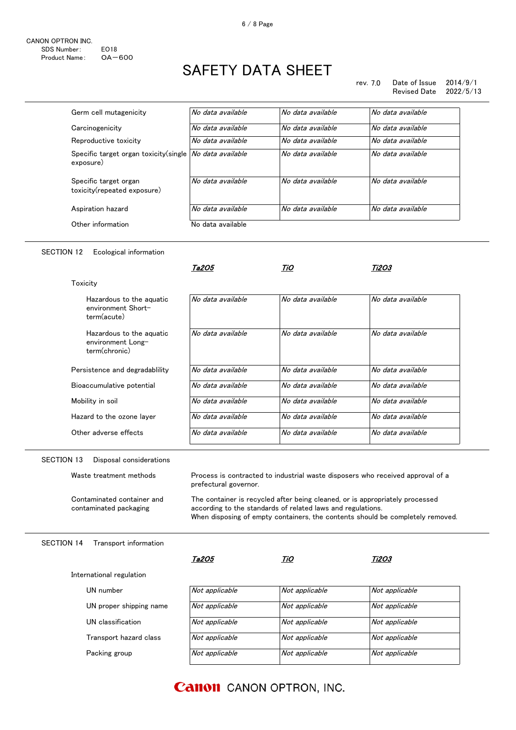#### rev. 7.0 Date of Issue 2014/9/1 Revised Date

| Germ cell mutagenicity                                                 | No data available | No data available | No data available |
|------------------------------------------------------------------------|-------------------|-------------------|-------------------|
| Carcinogenicity                                                        | No data available | No data available | No data available |
| Reproductive toxicity                                                  | No data available | No data available | No data available |
| Specific target organ toxicity(single   No data available<br>exposure) |                   | No data available | No data available |
| Specific target organ<br>toxicity(repeated exposure)                   | No data available | No data available | No data available |
| Aspiration hazard                                                      | No data available | No data available | No data available |
| Other information                                                      | No data available |                   |                   |

### SECTION 12 Ecological information

Packing group

UN classification

UN number

Transport hazard class

UN proper shipping name

|                                                                | Ta2O5                 | TiO                                                                                                                                         | Ti2O3                                                                          |
|----------------------------------------------------------------|-----------------------|---------------------------------------------------------------------------------------------------------------------------------------------|--------------------------------------------------------------------------------|
| Toxicity                                                       |                       |                                                                                                                                             |                                                                                |
| Hazardous to the aquatic<br>environment Short-<br>term(acute)  | No data available     | No data available                                                                                                                           | No data available                                                              |
| Hazardous to the aquatic<br>environment Long-<br>term(chronic) | No data available     | No data available                                                                                                                           | No data available                                                              |
| Persistence and degradability                                  | No data available     | No data available                                                                                                                           | No data available                                                              |
| Bioaccumulative potential                                      | No data available     | No data available                                                                                                                           | No data available                                                              |
| Mobility in soil                                               | No data available     | No data available                                                                                                                           | No data available                                                              |
| Hazard to the ozone laver                                      | No data available     | No data available                                                                                                                           | No data available                                                              |
| Other adverse effects                                          | No data available     | No data available                                                                                                                           | No data available                                                              |
| <b>SECTION 13</b><br>Disposal considerations                   |                       |                                                                                                                                             |                                                                                |
| Waste treatment methods                                        | prefectural governor. |                                                                                                                                             | Process is contracted to industrial waste disposers who received approval of a |
| Contaminated container and<br>contaminated packaging           |                       | The container is recycled after being cleaned, or is appropriately processed<br>according to the standards of related laws and regulations. | When disposing of empty containers, the contents should be completely removed. |
| <b>SECTION 14</b><br>Transport information                     |                       |                                                                                                                                             |                                                                                |
|                                                                | Ta2O5                 | TiO                                                                                                                                         | <i><b>Ti2O3</b></i>                                                            |
| International regulation                                       |                       |                                                                                                                                             |                                                                                |

| Not applicable | Not applicable |
|----------------|----------------|
| Not applicable | Not applicable |
| Not applicable | Not applicable |
| Not applicable | Not applicable |
| Not applicable | Not applicable |
|                |                |

### **Canon** CANON OPTRON, INC.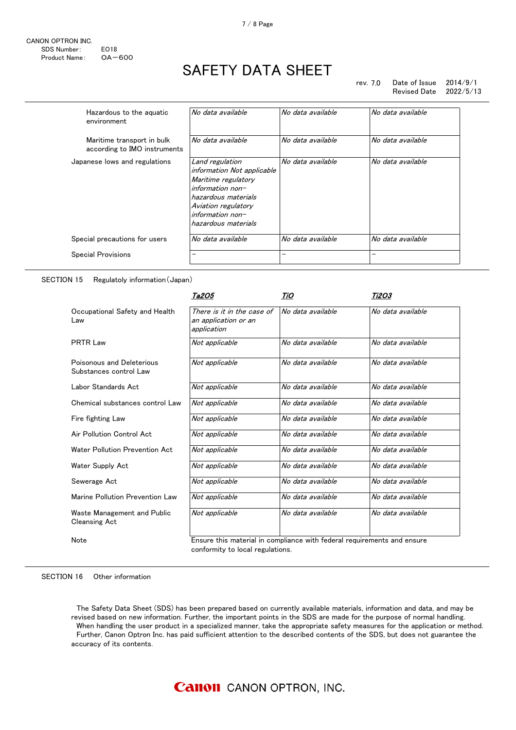rev. 7.0 Date of Issue 2014/9/1 Revised Date 2022/5/13

| Hazardous to the aguatic<br>environment                    | No data available                                                                                                                                                                     | No data available | No data available |
|------------------------------------------------------------|---------------------------------------------------------------------------------------------------------------------------------------------------------------------------------------|-------------------|-------------------|
| Maritime transport in bulk<br>according to IMO instruments | No data available                                                                                                                                                                     | No data available | No data available |
| Japanese lows and regulations                              | Land regulation<br>information Not applicable<br>Maritime regulatory<br>$information non-$<br>hazardous materials<br>Aviation regulatory<br>$information non-$<br>hazardous materials | No data available | No data available |
| Special precautions for users                              | No data available                                                                                                                                                                     | No data available | No data available |
| <b>Special Provisions</b>                                  | —                                                                                                                                                                                     | -                 |                   |

### SECTION 15 Regulatoly information(Japan)

|                                                     | Ta2O5                                                                                                       | TiO               | <i>Ti2O3</i>      |
|-----------------------------------------------------|-------------------------------------------------------------------------------------------------------------|-------------------|-------------------|
| Occupational Safety and Health<br>Law               | There is it in the case of<br>an application or an<br>application                                           | No data available | No data available |
| <b>PRTR Law</b>                                     | Not applicable                                                                                              | No data available | No data available |
| Poisonous and Deleterious<br>Substances control Law | Not applicable                                                                                              | No data available | No data available |
| Labor Standards Act                                 | Not applicable                                                                                              | No data available | No data available |
| Chemical substances control Law                     | Not applicable                                                                                              | No data available | No data available |
| Fire fighting Law                                   | Not applicable                                                                                              | No data available | No data available |
| Air Pollution Control Act                           | Not applicable                                                                                              | No data available | No data available |
| Water Pollution Prevention Act                      | Not applicable                                                                                              | No data available | No data available |
| Water Supply Act                                    | Not applicable                                                                                              | No data available | No data available |
| Sewerage Act                                        | Not applicable                                                                                              | No data available | No data available |
| Marine Pollution Prevention Law                     | Not applicable                                                                                              | No data available | No data available |
| Waste Management and Public<br><b>Cleansing Act</b> | Not applicable                                                                                              | No data available | No data available |
| Note                                                | Ensure this material in compliance with federal requirements and ensure<br>conformity to local regulations. |                   |                   |

#### SECTION 16 Other information

 The Safety Data Sheet (SDS) has been prepared based on currently available materials, information and data, and may be revised based on new information. Further, the important points in the SDS are made for the purpose of normal handling. When handling the user product in a specialized manner, take the appropriate safety measures for the application or method. Further, Canon Optron Inc. has paid sufficient attention to the described contents of the SDS, but does not guarantee the accuracy of its contents.